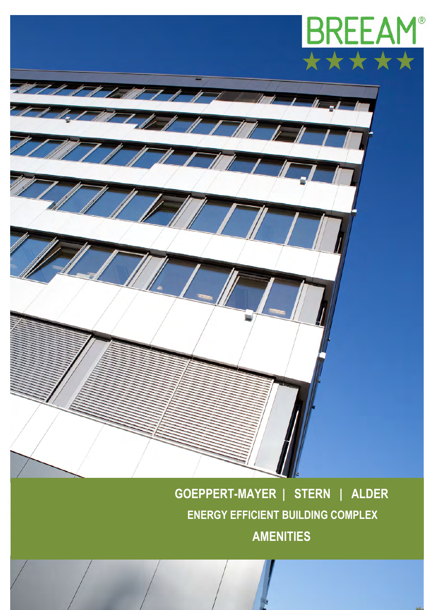

 $\frac{1}{2}$ 

**GOEPPERT-MAYER | STERN | ALDER ENERGY EFFICIENT BUILDING COMPLEX AMENITIES**

MINNIMINT AT A

 $I \Box T$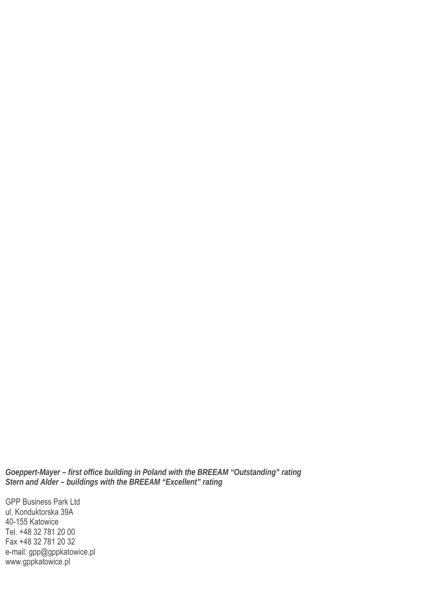*Goeppert-Mayer – first office building in Poland with the BREEAM "Outstanding" rating Stern and Alder – buildings with the BREEAM "Excellent" rating*

GPP Business Park Ltd ul. Konduktorska 39A 40-155 Katowice Tel. +48 32 781 20 00 Fax +48 32 781 20 32 e-mail: [gpp@gppkatowice.pl](mailto:gpp@gppkatowice.pl) [www.gppkatowice.pl](http://www.gppkatowice.pl/)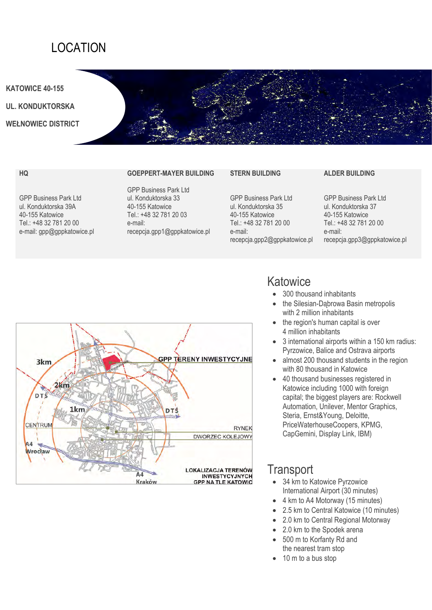## LOCATION

**KATOWICE 40-155**

**UL. KONDUKTORSKA**

**WEŁNOWIEC DISTRICT**

#### **HQ**

GPP Business Park Ltd ul. Konduktorska 39A 40-155 Katowice Tel.: +48 32 781 20 00 e-mail: gpp@gppkatowice.pl

#### **GOEPPERT-MAYER BUILDING**

GPP Business Park Ltd ul. Konduktorska 33 40-155 Katowice Tel.: +48 32 781 20 03 e-mail: recepcja.gpp1@gppkatowice.pl

#### **STERN BUILDING**

GPP Business Park Ltd ul. Konduktorska 35 40-155 Katowice Tel.: +48 32 781 20 00 e-mail: recepcja.gpp2@gppkatowice.pl

# **ALDER BUILDING**

GPP Business Park Ltd ul. Konduktorska 37 40-155 Katowice Tel.: +48 32 781 20 00 e-mail: recepcja.gpp3@gppkatowice.pl



### **Katowice**

- 300 thousand inhabitants
- the Silesian-Dąbrowa Basin metropolis with 2 million inhabitants
- the region's human capital is over 4 million inhabitants
- 3 international airports within a 150 km radius: Pyrzowice, Balice and Ostrava airports
- almost 200 thousand students in the region with 80 thousand in Katowice
- 40 thousand businesses registered in Katowice including 1000 with foreign capital; the biggest players are: Rockwell Automation, Unilever, Mentor Graphics, Steria, Ernst&Young, Deloitte, PriceWaterhouseCoopers, KPMG, CapGemini, Display Link, IBM)

### **Transport**

- 34 km to Katowice Pyrzowice International Airport (30 minutes)
- 4 km to A4 Motorway (15 minutes)
- 2.5 km to Central Katowice (10 minutes)
- 2.0 km to Central Regional Motorway
- 2.0 km to the Spodek arena
- 500 m to Korfanty Rd and the nearest tram stop
- 10 m to a bus stop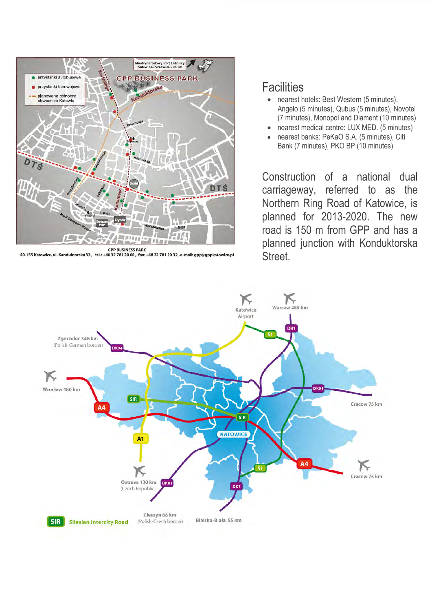

GPP BUSINESS PARK<br>40-155 Katowice, ul. Konduktorska 33, tel.: +48 32 781 20 00 , fax: +48 32 781 20 32 , e-mail: gpp@gppkatowice.pl

### **Facilities**

- nearest hotels: Best Western (5 minutes). Angelo (5 minutes), Qubus (5 minutes), Novotel (7 minutes), Monopol and Diament (10 minutes)
- nearest medical centre: LUX MED. (5 minutes)
- nearest banks: PeKaO S.A. (5 minutes), Citi Bank (7 minutes), PKO BP (10 minutes)

Construction of a national dual carriageway, referred to as the Northern Ring Road of Katowice, is planned for 2013-2020. The new road is 150 m from GPP and has a planned junction with Konduktorska Street.

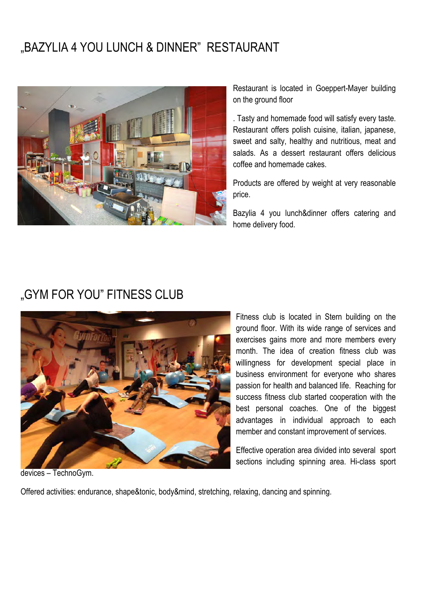## "BAZYLIA 4 YOU LUNCH & DINNER" RESTAURANT



Restaurant is located in Goeppert-Mayer building on the ground floor

. Tasty and homemade food will satisfy every taste. Restaurant offers polish cuisine, italian, japanese, sweet and salty, healthy and nutritious, meat and salads. As a dessert restaurant offers delicious coffee and homemade cakes.

Products are offered by weight at very reasonable price.

Bazylia 4 you lunch&dinner offers catering and home delivery food.

## "GYM FOR YOU" FITNESS CLUB



Fitness club is located in Stern building on the ground floor. With its wide range of services and exercises gains more and more members every month. The idea of creation fitness club was willingness for development special place in business environment for everyone who shares passion for health and balanced life. Reaching for success fitness club started cooperation with the best personal coaches. One of the biggest advantages in individual approach to each member and constant improvement of services.

Effective operation area divided into several sport sections including spinning area. Hi-class sport

devices – TechnoGym.

Offered activities: endurance, shape&tonic, body&mind, stretching, relaxing, dancing and spinning.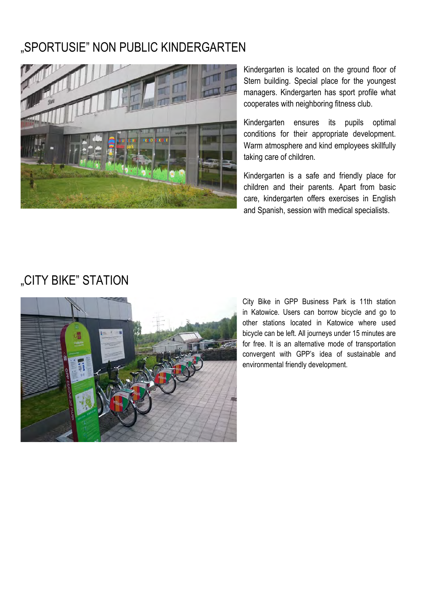## "SPORTUSIE" NON PUBLIC KINDERGARTEN



Kindergarten is located on the ground floor of Stern building. Special place for the youngest managers. Kindergarten has sport profile what cooperates with neighboring fitness club.

Kindergarten ensures its pupils optimal conditions for their appropriate development. Warm atmosphere and kind employees skillfully taking care of children.

Kindergarten is a safe and friendly place for children and their parents. Apart from basic care, kindergarten offers exercises in English and Spanish, session with medical specialists.

# "CITY BIKE" STATION



City Bike in GPP Business Park is 11th station in Katowice. Users can borrow bicycle and go to other stations located in Katowice where used bicycle can be left. All journeys under 15 minutes are for free. It is an alternative mode of transportation convergent with GPP's idea of sustainable and environmental friendly development.